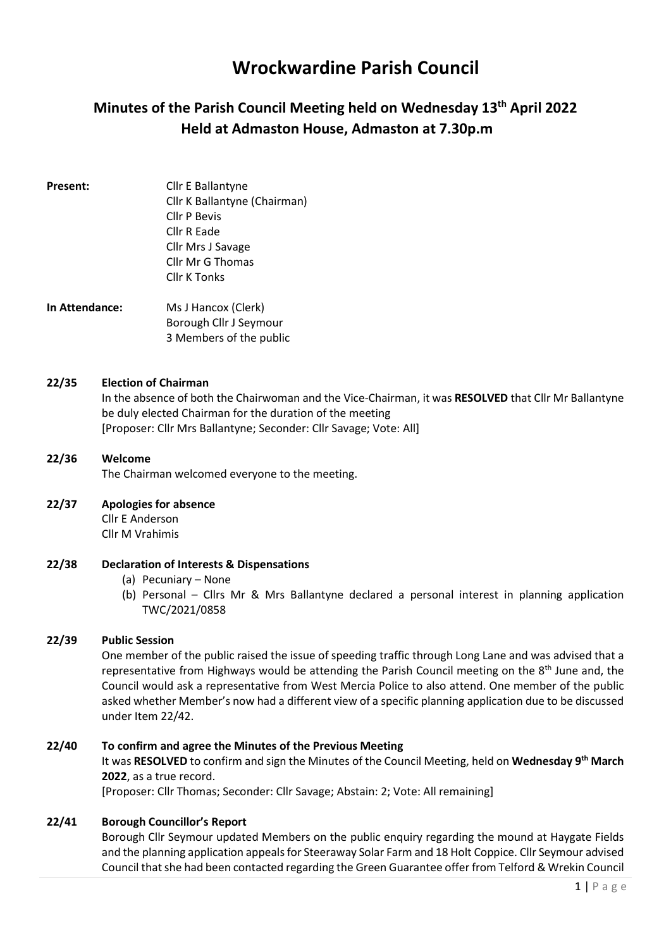# Wrockwardine Parish Council

# Minutes of the Parish Council Meeting held on Wednesday 13<sup>th</sup> April 2022 Held at Admaston House, Admaston at 7.30p.m

Present: Cllr E Ballantyne Cllr K Ballantyne (Chairman) Cllr P Bevis Cllr R Eade Cllr Mrs J Savage Cllr Mr G Thomas Cllr K Tonks

In Attendance: Ms J Hancox (Clerk) Borough Cllr J Seymour 3 Members of the public

#### 22/35 Election of Chairman

In the absence of both the Chairwoman and the Vice-Chairman, it was RESOLVED that Cllr Mr Ballantyne be duly elected Chairman for the duration of the meeting [Proposer: Cllr Mrs Ballantyne; Seconder: Cllr Savage; Vote: All]

#### 22/36 Welcome The Chairman welcomed everyone to the meeting.

#### 22/37 Apologies for absence

Cllr E Anderson Cllr M Vrahimis

#### 22/38 Declaration of Interests & Dispensations

- (a) Pecuniary None
- (b) Personal Cllrs Mr & Mrs Ballantyne declared a personal interest in planning application TWC/2021/0858

#### 22/39 Public Session

One member of the public raised the issue of speeding traffic through Long Lane and was advised that a representative from Highways would be attending the Parish Council meeting on the 8<sup>th</sup> June and, the Council would ask a representative from West Mercia Police to also attend. One member of the public asked whether Member's now had a different view of a specific planning application due to be discussed under Item 22/42.

#### 22/40 To confirm and agree the Minutes of the Previous Meeting

It was RESOLVED to confirm and sign the Minutes of the Council Meeting, held on Wednesday 9<sup>th</sup> March 2022, as a true record.

[Proposer: Cllr Thomas; Seconder: Cllr Savage; Abstain: 2; Vote: All remaining]

## 22/41 Borough Councillor's Report

Borough Cllr Seymour updated Members on the public enquiry regarding the mound at Haygate Fields and the planning application appeals for Steeraway Solar Farm and 18 Holt Coppice. Cllr Seymour advised Council that she had been contacted regarding the Green Guarantee offer from Telford & Wrekin Council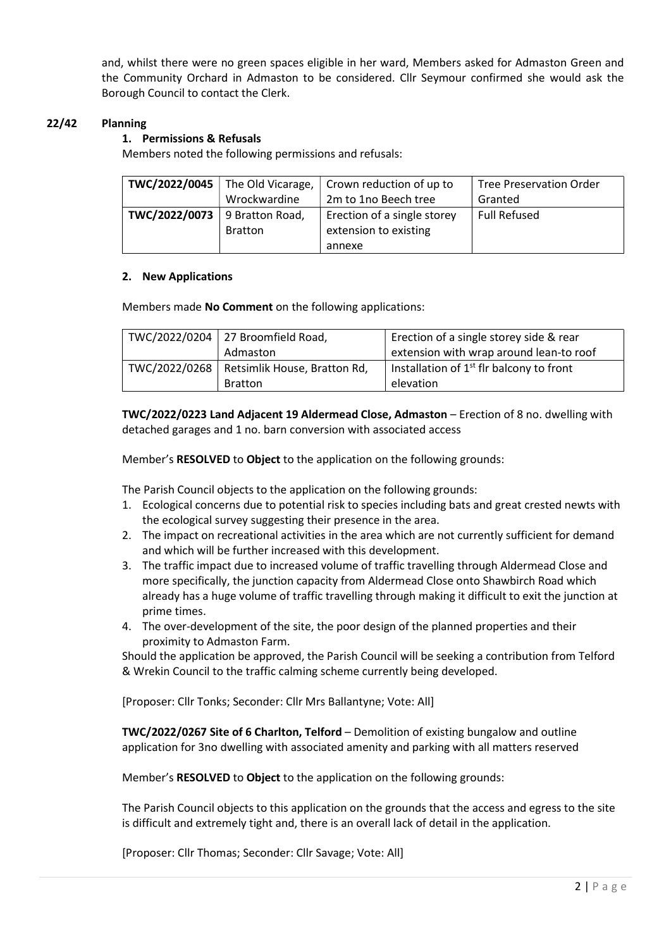and, whilst there were no green spaces eligible in her ward, Members asked for Admaston Green and the Community Orchard in Admaston to be considered. Cllr Seymour confirmed she would ask the Borough Council to contact the Clerk.

#### 22/42 Planning

#### 1. Permissions & Refusals

Members noted the following permissions and refusals:

| TWC/2022/0045<br>The Old Vicarage, |                 | Crown reduction of up to    | <b>Tree Preservation Order</b> |  |
|------------------------------------|-----------------|-----------------------------|--------------------------------|--|
|                                    | Wrockwardine    | 2m to 1no Beech tree        | Granted                        |  |
| TWC/2022/0073                      | 9 Bratton Road, | Erection of a single storey | <b>Full Refused</b>            |  |
|                                    | <b>Bratton</b>  | extension to existing       |                                |  |
|                                    |                 | annexe                      |                                |  |

#### 2. New Applications

Members made No Comment on the following applications:

| TWC/2022/0204 $\vert$ 27 Broomfield Road,    | Erection of a single storey side & rear    |  |  |
|----------------------------------------------|--------------------------------------------|--|--|
| Admaston                                     | extension with wrap around lean-to roof    |  |  |
| TWC/2022/0268   Retsimlik House, Bratton Rd, | Installation of $1st$ fir balcony to front |  |  |
| <b>Bratton</b>                               | elevation                                  |  |  |

TWC/2022/0223 Land Adjacent 19 Aldermead Close, Admaston – Erection of 8 no. dwelling with detached garages and 1 no. barn conversion with associated access

Member's RESOLVED to Object to the application on the following grounds:

The Parish Council objects to the application on the following grounds:

- 1. Ecological concerns due to potential risk to species including bats and great crested newts with the ecological survey suggesting their presence in the area.
- 2. The impact on recreational activities in the area which are not currently sufficient for demand and which will be further increased with this development.
- 3. The traffic impact due to increased volume of traffic travelling through Aldermead Close and more specifically, the junction capacity from Aldermead Close onto Shawbirch Road which already has a huge volume of traffic travelling through making it difficult to exit the junction at prime times.
- 4. The over-development of the site, the poor design of the planned properties and their proximity to Admaston Farm.

Should the application be approved, the Parish Council will be seeking a contribution from Telford & Wrekin Council to the traffic calming scheme currently being developed.

[Proposer: Cllr Tonks; Seconder: Cllr Mrs Ballantyne; Vote: All]

TWC/2022/0267 Site of 6 Charlton, Telford – Demolition of existing bungalow and outline application for 3no dwelling with associated amenity and parking with all matters reserved

Member's RESOLVED to Object to the application on the following grounds:

The Parish Council objects to this application on the grounds that the access and egress to the site is difficult and extremely tight and, there is an overall lack of detail in the application.

[Proposer: Cllr Thomas; Seconder: Cllr Savage; Vote: All]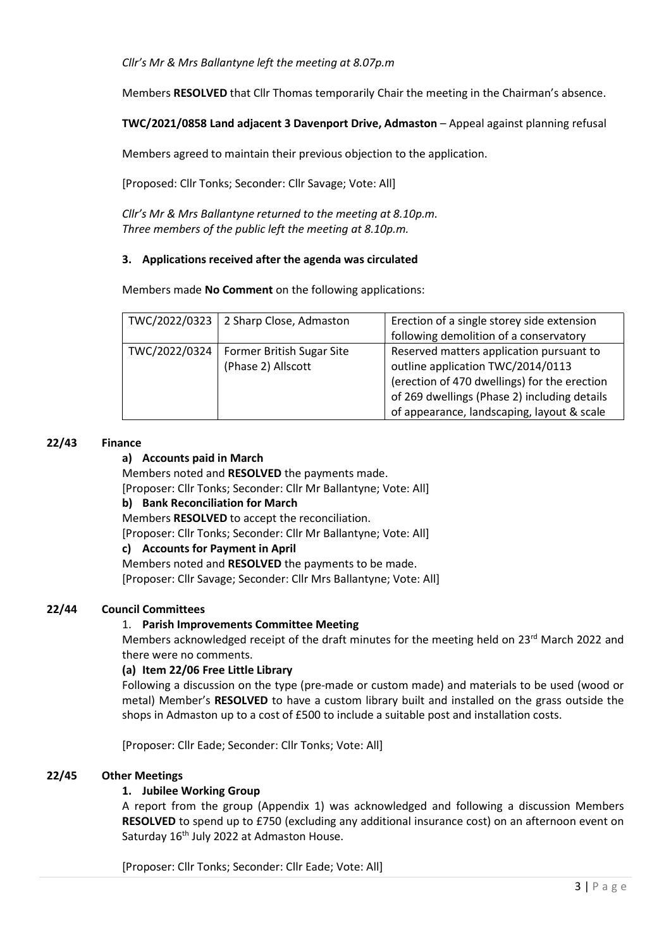Cllr's Mr & Mrs Ballantyne left the meeting at 8.07p.m

Members RESOLVED that Cllr Thomas temporarily Chair the meeting in the Chairman's absence.

#### TWC/2021/0858 Land adjacent 3 Davenport Drive, Admaston – Appeal against planning refusal

Members agreed to maintain their previous objection to the application.

[Proposed: Cllr Tonks; Seconder: Cllr Savage; Vote: All]

Cllr's Mr & Mrs Ballantyne returned to the meeting at 8.10p.m. Three members of the public left the meeting at 8.10p.m.

#### 3. Applications received after the agenda was circulated

Members made No Comment on the following applications:

| TWC/2022/0323 | 2 Sharp Close, Admaston   | Erection of a single storey side extension   |
|---------------|---------------------------|----------------------------------------------|
|               |                           | following demolition of a conservatory       |
| TWC/2022/0324 | Former British Sugar Site | Reserved matters application pursuant to     |
|               | (Phase 2) Allscott        | outline application TWC/2014/0113            |
|               |                           | (erection of 470 dwellings) for the erection |
|               |                           | of 269 dwellings (Phase 2) including details |
|               |                           | of appearance, landscaping, layout & scale   |

#### 22/43 Finance

#### a) Accounts paid in March

Members noted and RESOLVED the payments made.

[Proposer: Cllr Tonks; Seconder: Cllr Mr Ballantyne; Vote: All]

#### b) Bank Reconciliation for March

Members RESOLVED to accept the reconciliation.

[Proposer: Cllr Tonks; Seconder: Cllr Mr Ballantyne; Vote: All]

#### c) Accounts for Payment in April

Members noted and RESOLVED the payments to be made. [Proposer: Cllr Savage; Seconder: Cllr Mrs Ballantyne; Vote: All]

#### 22/44 Council Committees

#### 1. Parish Improvements Committee Meeting

Members acknowledged receipt of the draft minutes for the meeting held on 23rd March 2022 and there were no comments.

#### (a) Item 22/06 Free Little Library

Following a discussion on the type (pre-made or custom made) and materials to be used (wood or metal) Member's RESOLVED to have a custom library built and installed on the grass outside the shops in Admaston up to a cost of £500 to include a suitable post and installation costs.

[Proposer: Cllr Eade; Seconder: Cllr Tonks; Vote: All]

#### 22/45 Other Meetings

#### 1. Jubilee Working Group

A report from the group (Appendix 1) was acknowledged and following a discussion Members RESOLVED to spend up to £750 (excluding any additional insurance cost) on an afternoon event on Saturday 16<sup>th</sup> July 2022 at Admaston House.

[Proposer: Cllr Tonks; Seconder: Cllr Eade; Vote: All]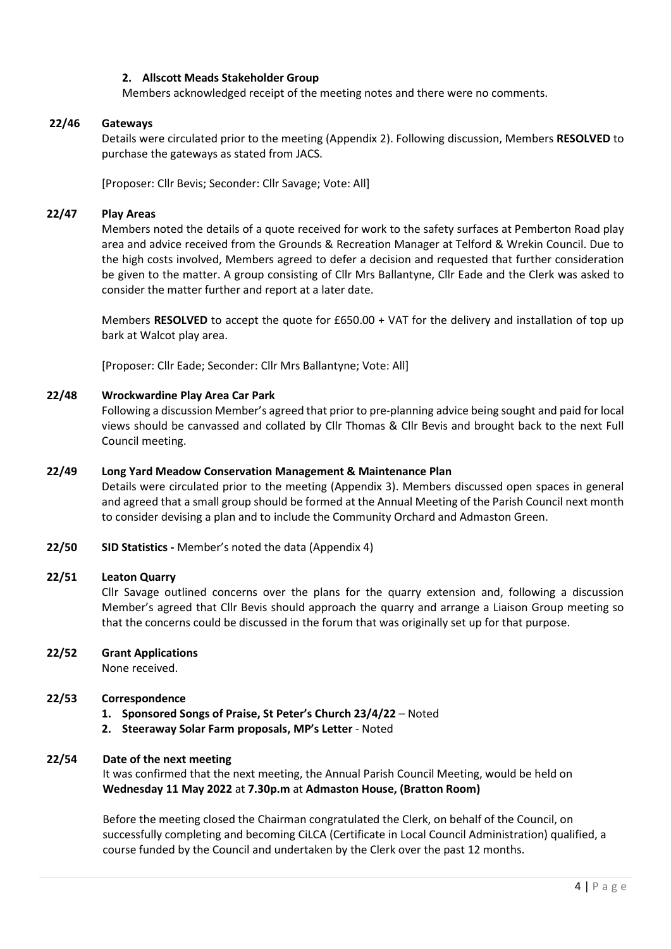#### 2. Allscott Meads Stakeholder Group

Members acknowledged receipt of the meeting notes and there were no comments.

#### 22/46 Gateways

Details were circulated prior to the meeting (Appendix 2). Following discussion, Members RESOLVED to purchase the gateways as stated from JACS.

[Proposer: Cllr Bevis; Seconder: Cllr Savage; Vote: All]

#### 22/47 Play Areas

Members noted the details of a quote received for work to the safety surfaces at Pemberton Road play area and advice received from the Grounds & Recreation Manager at Telford & Wrekin Council. Due to the high costs involved, Members agreed to defer a decision and requested that further consideration be given to the matter. A group consisting of Cllr Mrs Ballantyne, Cllr Eade and the Clerk was asked to consider the matter further and report at a later date.

Members RESOLVED to accept the quote for £650.00 + VAT for the delivery and installation of top up bark at Walcot play area.

[Proposer: Cllr Eade; Seconder: Cllr Mrs Ballantyne; Vote: All]

#### 22/48 Wrockwardine Play Area Car Park

Following a discussion Member's agreed that prior to pre-planning advice being sought and paid for local views should be canvassed and collated by Cllr Thomas & Cllr Bevis and brought back to the next Full Council meeting.

#### 22/49 Long Yard Meadow Conservation Management & Maintenance Plan

Details were circulated prior to the meeting (Appendix 3). Members discussed open spaces in general and agreed that a small group should be formed at the Annual Meeting of the Parish Council next month to consider devising a plan and to include the Community Orchard and Admaston Green.

22/50 SID Statistics - Member's noted the data (Appendix 4)

#### 22/51 Leaton Quarry

Cllr Savage outlined concerns over the plans for the quarry extension and, following a discussion Member's agreed that Cllr Bevis should approach the quarry and arrange a Liaison Group meeting so that the concerns could be discussed in the forum that was originally set up for that purpose.

#### 22/52 Grant Applications

None received.

#### 22/53 Correspondence

- 1. Sponsored Songs of Praise, St Peter's Church 23/4/22 Noted
- 2. Steeraway Solar Farm proposals, MP's Letter Noted

#### 22/54 Date of the next meeting

It was confirmed that the next meeting, the Annual Parish Council Meeting, would be held on Wednesday 11 May 2022 at 7.30p.m at Admaston House, (Bratton Room)

Before the meeting closed the Chairman congratulated the Clerk, on behalf of the Council, on successfully completing and becoming CiLCA (Certificate in Local Council Administration) qualified, a course funded by the Council and undertaken by the Clerk over the past 12 months.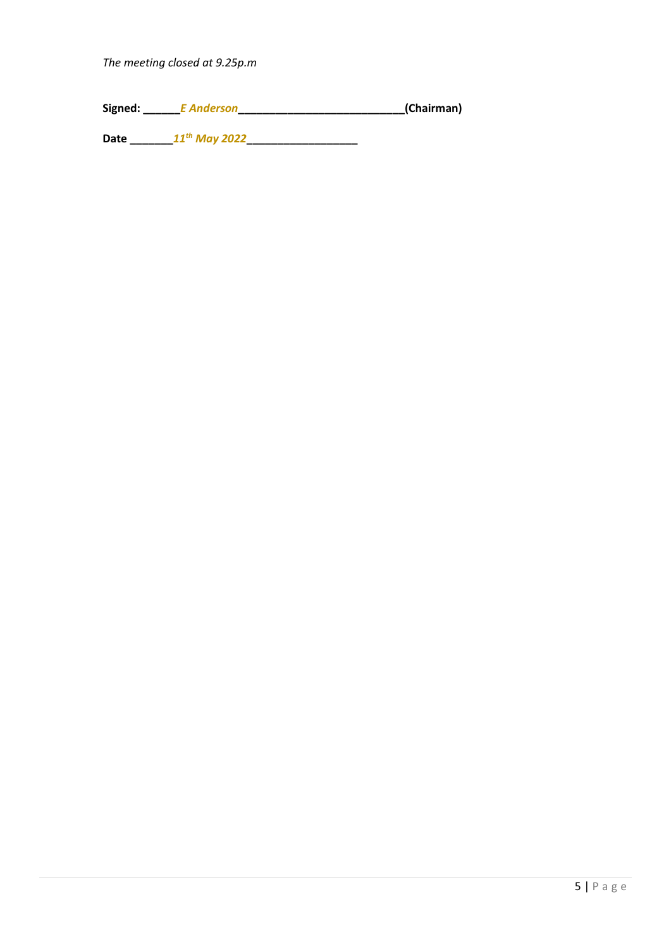Signed: \_\_\_\_\_\_E Anderson\_\_\_\_\_\_\_\_\_\_\_\_\_\_\_\_\_\_\_\_\_\_\_\_\_\_\_(Chairman)

Date \_\_\_\_\_\_\_11th May 2022\_\_\_\_\_\_\_\_\_\_\_\_\_\_\_\_\_\_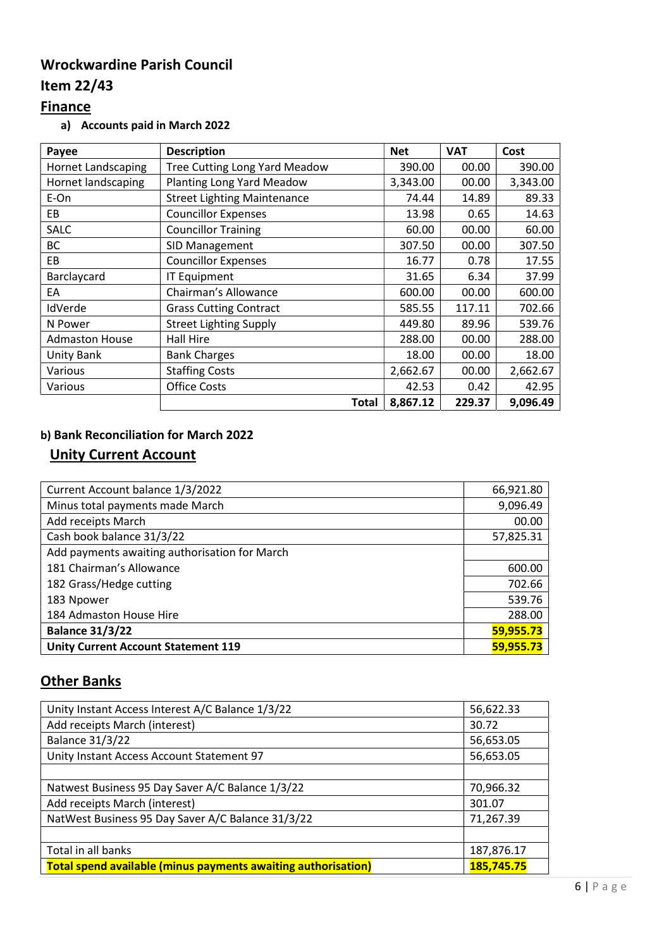# Wrockwardine Parish Council

# Item 22/43

# **Finance**

a) Accounts paid in March 2022

| Payee                     | <b>Description</b>                   | <b>Net</b> | <b>VAT</b> | Cost     |
|---------------------------|--------------------------------------|------------|------------|----------|
| <b>Hornet Landscaping</b> | <b>Tree Cutting Long Yard Meadow</b> | 390.00     | 00.00      | 390.00   |
| Hornet landscaping        | Planting Long Yard Meadow            | 3,343.00   | 00.00      | 3,343.00 |
| E-On                      | <b>Street Lighting Maintenance</b>   | 74.44      | 14.89      | 89.33    |
| EB                        | <b>Councillor Expenses</b>           | 13.98      | 0.65       | 14.63    |
| <b>SALC</b>               | <b>Councillor Training</b>           | 60.00      | 00.00      | 60.00    |
| BC                        | SID Management                       | 307.50     | 00.00      | 307.50   |
| EB                        | <b>Councillor Expenses</b>           | 16.77      | 0.78       | 17.55    |
| Barclaycard               | <b>IT Equipment</b>                  | 31.65      | 6.34       | 37.99    |
| EA                        | Chairman's Allowance                 | 600.00     | 00.00      | 600.00   |
| IdVerde                   | <b>Grass Cutting Contract</b>        | 585.55     | 117.11     | 702.66   |
| N Power                   | <b>Street Lighting Supply</b>        | 449.80     | 89.96      | 539.76   |
| <b>Admaston House</b>     | Hall Hire                            | 288.00     | 00.00      | 288.00   |
| Unity Bank                | <b>Bank Charges</b>                  | 18.00      | 00.00      | 18.00    |
| <b>Various</b>            | <b>Staffing Costs</b>                | 2,662.67   | 00.00      | 2,662.67 |
| Various                   | <b>Office Costs</b>                  | 42.53      | 0.42       | 42.95    |
|                           | <b>Total</b>                         | 8,867.12   | 229.37     | 9,096.49 |

## b) Bank Reconciliation for March 2022

## Unity Current Account

| Current Account balance 1/3/2022              | 66,921.80 |
|-----------------------------------------------|-----------|
| Minus total payments made March               | 9,096.49  |
| Add receipts March                            | 00.00     |
| Cash book balance 31/3/22                     | 57,825.31 |
| Add payments awaiting authorisation for March |           |
| 181 Chairman's Allowance                      | 600.00    |
| 182 Grass/Hedge cutting                       | 702.66    |
| 183 Npower                                    | 539.76    |
| 184 Admaston House Hire                       | 288.00    |
| <b>Balance 31/3/22</b>                        | 59,955.73 |
| <b>Unity Current Account Statement 119</b>    | 59,955.73 |

# **Other Banks**

| Unity Instant Access Interest A/C Balance 1/3/22                     | 56,622.33  |
|----------------------------------------------------------------------|------------|
| Add receipts March (interest)                                        | 30.72      |
| <b>Balance 31/3/22</b>                                               | 56,653.05  |
| Unity Instant Access Account Statement 97                            | 56,653.05  |
|                                                                      |            |
| Natwest Business 95 Day Saver A/C Balance 1/3/22                     | 70,966.32  |
| Add receipts March (interest)                                        | 301.07     |
| NatWest Business 95 Day Saver A/C Balance 31/3/22                    | 71,267.39  |
|                                                                      |            |
| Total in all banks                                                   | 187,876.17 |
| <b>Total spend available (minus payments awaiting authorisation)</b> | 185,745.75 |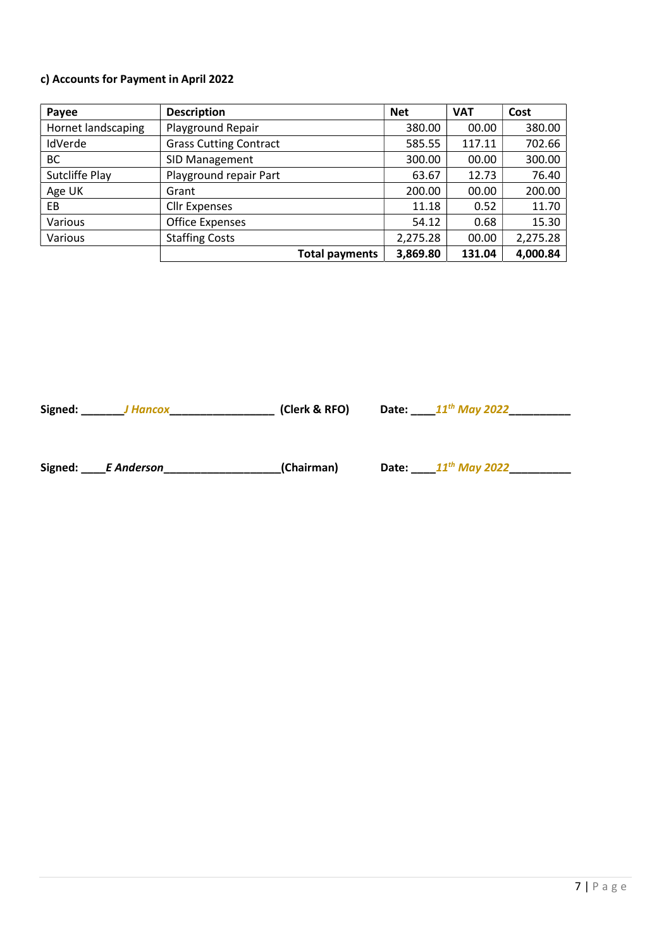#### c) Accounts for Payment in April 2022

| Payee              | <b>Description</b>            | <b>Net</b> | <b>VAT</b> | Cost     |
|--------------------|-------------------------------|------------|------------|----------|
| Hornet landscaping | Playground Repair             | 380.00     | 00.00      | 380.00   |
| IdVerde            | <b>Grass Cutting Contract</b> | 585.55     | 117.11     | 702.66   |
| <b>BC</b>          | SID Management                | 300.00     | 00.00      | 300.00   |
| Sutcliffe Play     | Playground repair Part        | 63.67      | 12.73      | 76.40    |
| Age UK             | Grant                         | 200.00     | 00.00      | 200.00   |
| EB.                | <b>Cllr Expenses</b>          | 11.18      | 0.52       | 11.70    |
| Various            | <b>Office Expenses</b>        | 54.12      | 0.68       | 15.30    |
| Various            | <b>Staffing Costs</b>         | 2,275.28   | 00.00      | 2,275.28 |
|                    | Total payments                | 3,869.80   | 131.04     | 4,000.84 |

Signed: \_\_\_\_\_\_\_\_J Hancox\_\_\_\_\_\_\_\_\_\_\_\_\_\_\_\_\_\_\_\_\_\_\_\_ (Clerk & RFO) Date: \_\_\_\_\_11<sup>th</sup> May 2022\_\_\_\_\_\_\_\_\_\_\_\_\_\_\_\_\_

Signed:  $\frac{E}{2}$  F Anderson \_\_\_\_\_\_\_\_\_\_\_\_\_\_\_\_\_\_\_\_(Chairman) Date:  $\frac{11^{th}$  May 2022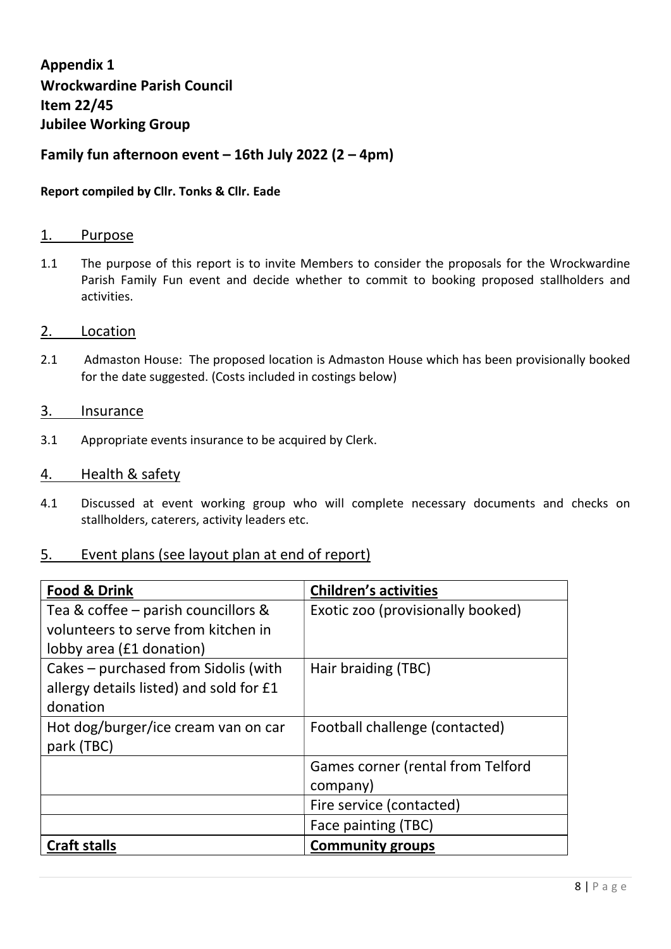Appendix 1 Wrockwardine Parish Council Item 22/45 Jubilee Working Group

## Family fun afternoon event  $-16$ th July 2022 (2 – 4pm)

### Report compiled by Cllr. Tonks & Cllr. Eade

#### 1. Purpose

1.1 The purpose of this report is to invite Members to consider the proposals for the Wrockwardine Parish Family Fun event and decide whether to commit to booking proposed stallholders and activities.

#### 2. Location

2.1 Admaston House: The proposed location is Admaston House which has been provisionally booked for the date suggested. (Costs included in costings below)

#### 3. Insurance

3.1 Appropriate events insurance to be acquired by Clerk.

#### 4. Health & safety

4.1 Discussed at event working group who will complete necessary documents and checks on stallholders, caterers, activity leaders etc.

### 5. Event plans (see layout plan at end of report)

| <b>Food &amp; Drink</b>                 | <b>Children's activities</b>             |  |  |
|-----------------------------------------|------------------------------------------|--|--|
| Tea & coffee - parish councillors &     | Exotic zoo (provisionally booked)        |  |  |
| volunteers to serve from kitchen in     |                                          |  |  |
| lobby area (£1 donation)                |                                          |  |  |
| Cakes - purchased from Sidolis (with    | Hair braiding (TBC)                      |  |  |
| allergy details listed) and sold for £1 |                                          |  |  |
| donation                                |                                          |  |  |
| Hot dog/burger/ice cream van on car     | Football challenge (contacted)           |  |  |
| park (TBC)                              |                                          |  |  |
|                                         | <b>Games corner (rental from Telford</b> |  |  |
|                                         | company)                                 |  |  |
|                                         | Fire service (contacted)                 |  |  |
|                                         | Face painting (TBC)                      |  |  |
| <b>Craft stalls</b>                     | <b>Community groups</b>                  |  |  |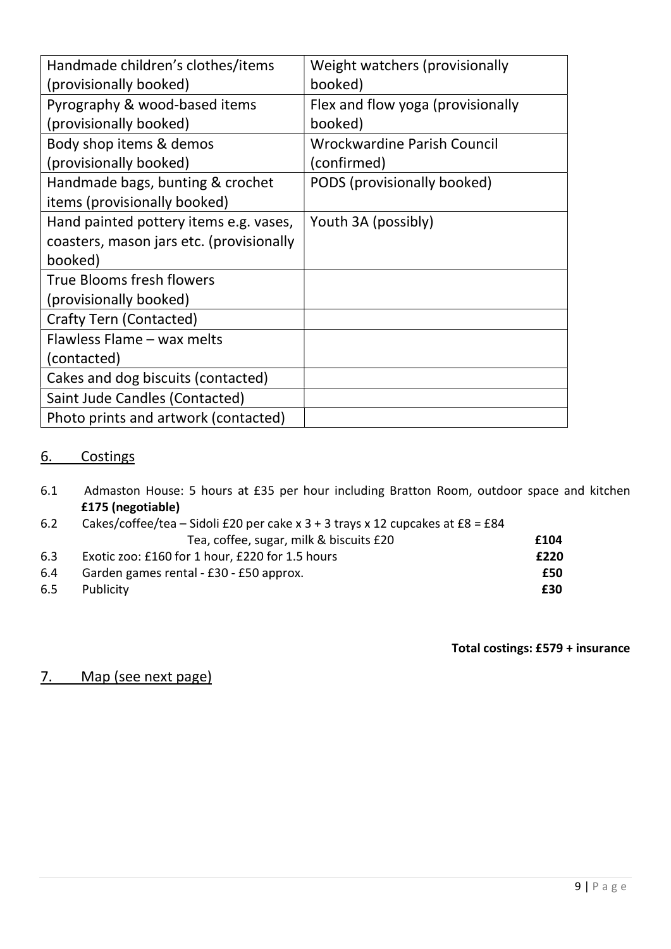| Handmade children's clothes/items        | Weight watchers (provisionally    |
|------------------------------------------|-----------------------------------|
| (provisionally booked)                   | booked)                           |
| Pyrography & wood-based items            | Flex and flow yoga (provisionally |
| (provisionally booked)                   | booked)                           |
| Body shop items & demos                  | Wrockwardine Parish Council       |
| (provisionally booked)                   | (confirmed)                       |
| Handmade bags, bunting & crochet         | PODS (provisionally booked)       |
| items (provisionally booked)             |                                   |
| Hand painted pottery items e.g. vases,   | Youth 3A (possibly)               |
| coasters, mason jars etc. (provisionally |                                   |
| booked)                                  |                                   |
| True Blooms fresh flowers                |                                   |
| (provisionally booked)                   |                                   |
| <b>Crafty Tern (Contacted)</b>           |                                   |
| Flawless Flame - wax melts               |                                   |
| (contacted)                              |                                   |
| Cakes and dog biscuits (contacted)       |                                   |
| Saint Jude Candles (Contacted)           |                                   |
| Photo prints and artwork (contacted)     |                                   |

## 6. Costings

6.1 Admaston House: 5 hours at £35 per hour including Bratton Room, outdoor space and kitchen £175 (negotiable)

| 6.2 | Cakes/coffee/tea – Sidoli £20 per cake x $3 + 3$ trays x 12 cupcakes at £8 = £84 |      |
|-----|----------------------------------------------------------------------------------|------|
|     | Tea, coffee, sugar, milk & biscuits £20                                          | £104 |
| 6.3 | Exotic zoo: £160 for 1 hour, £220 for 1.5 hours                                  | £220 |
| 6.4 | Garden games rental - £30 - £50 approx.                                          | £50  |
| 6.5 | Publicity                                                                        | £30  |

Total costings: £579 + insurance

# 7. Map (see next page)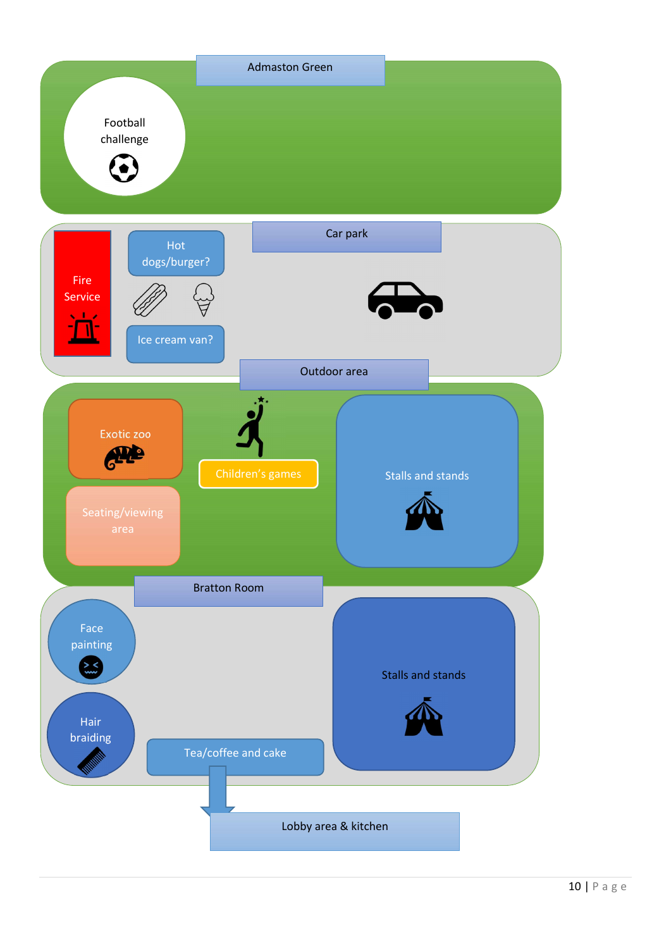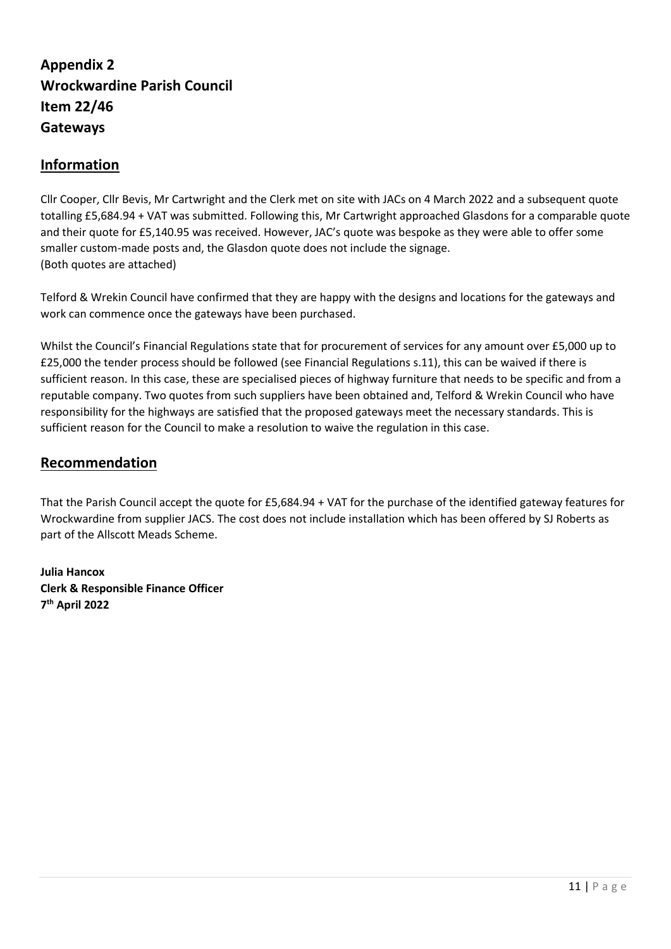# Appendix 2 Wrockwardine Parish Council Item 22/46 Gateways

### Information

Cllr Cooper, Cllr Bevis, Mr Cartwright and the Clerk met on site with JACs on 4 March 2022 and a subsequent quote totalling £5,684.94 + VAT was submitted. Following this, Mr Cartwright approached Glasdons for a comparable quote and their quote for £5,140.95 was received. However, JAC's quote was bespoke as they were able to offer some smaller custom-made posts and, the Glasdon quote does not include the signage. (Both quotes are attached)

Telford & Wrekin Council have confirmed that they are happy with the designs and locations for the gateways and work can commence once the gateways have been purchased.

Whilst the Council's Financial Regulations state that for procurement of services for any amount over £5,000 up to £25,000 the tender process should be followed (see Financial Regulations s.11), this can be waived if there is sufficient reason. In this case, these are specialised pieces of highway furniture that needs to be specific and from a reputable company. Two quotes from such suppliers have been obtained and, Telford & Wrekin Council who have responsibility for the highways are satisfied that the proposed gateways meet the necessary standards. This is sufficient reason for the Council to make a resolution to waive the regulation in this case.

### Recommendation

That the Parish Council accept the quote for £5,684.94 + VAT for the purchase of the identified gateway features for Wrockwardine from supplier JACS. The cost does not include installation which has been offered by SJ Roberts as part of the Allscott Meads Scheme.

Julia Hancox Clerk & Responsible Finance Officer 7 th April 2022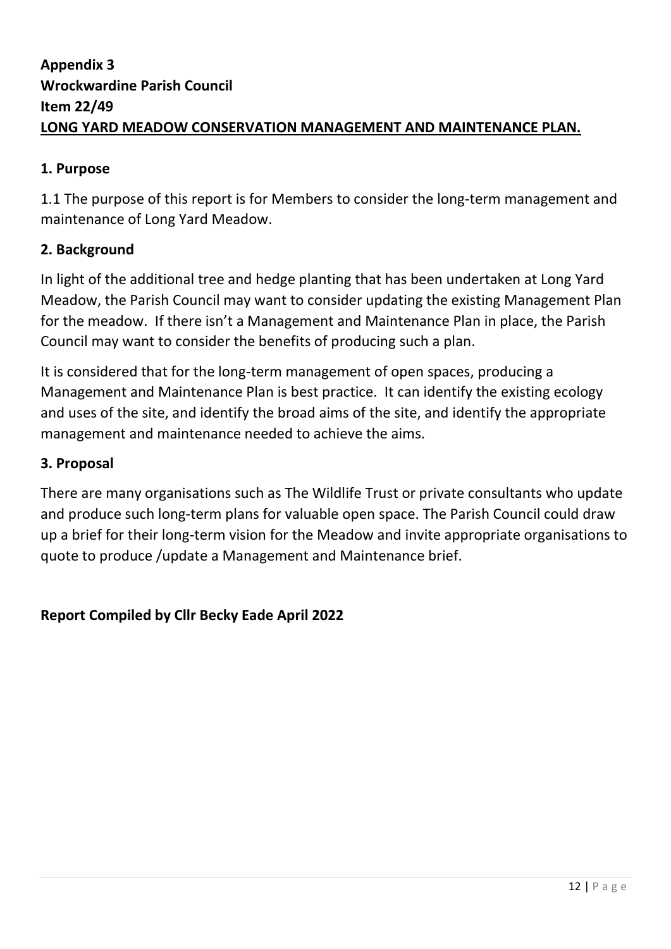# Appendix 3 Wrockwardine Parish Council Item 22/49 LONG YARD MEADOW CONSERVATION MANAGEMENT AND MAINTENANCE PLAN.

# 1. Purpose

1.1 The purpose of this report is for Members to consider the long-term management and maintenance of Long Yard Meadow.

# 2. Background

In light of the additional tree and hedge planting that has been undertaken at Long Yard Meadow, the Parish Council may want to consider updating the existing Management Plan for the meadow. If there isn't a Management and Maintenance Plan in place, the Parish Council may want to consider the benefits of producing such a plan.

It is considered that for the long-term management of open spaces, producing a Management and Maintenance Plan is best practice. It can identify the existing ecology and uses of the site, and identify the broad aims of the site, and identify the appropriate management and maintenance needed to achieve the aims.

## 3. Proposal

There are many organisations such as The Wildlife Trust or private consultants who update and produce such long-term plans for valuable open space. The Parish Council could draw up a brief for their long-term vision for the Meadow and invite appropriate organisations to quote to produce /update a Management and Maintenance brief.

## Report Compiled by Cllr Becky Eade April 2022